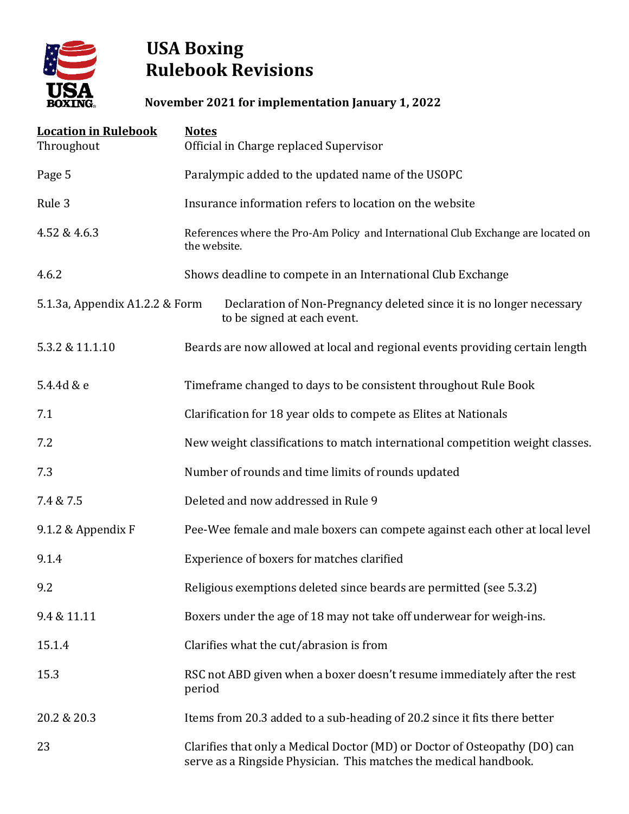

## **USA Boxing Rulebook Revisions**

**November 2021 for implementation January 1, 2022**

| <b>Location in Rulebook</b><br>Throughout | <b>Notes</b><br>Official in Charge replaced Supervisor                                                                                          |
|-------------------------------------------|-------------------------------------------------------------------------------------------------------------------------------------------------|
| Page 5                                    | Paralympic added to the updated name of the USOPC                                                                                               |
| Rule 3                                    | Insurance information refers to location on the website                                                                                         |
| 4.52 & 4.6.3                              | References where the Pro-Am Policy and International Club Exchange are located on<br>the website.                                               |
| 4.6.2                                     | Shows deadline to compete in an International Club Exchange                                                                                     |
| 5.1.3a, Appendix A1.2.2 & Form            | Declaration of Non-Pregnancy deleted since it is no longer necessary<br>to be signed at each event.                                             |
| 5.3.2 & 11.1.10                           | Beards are now allowed at local and regional events providing certain length                                                                    |
| 5.4.4d & e                                | Timeframe changed to days to be consistent throughout Rule Book                                                                                 |
| 7.1                                       | Clarification for 18 year olds to compete as Elites at Nationals                                                                                |
| 7.2                                       | New weight classifications to match international competition weight classes.                                                                   |
| 7.3                                       | Number of rounds and time limits of rounds updated                                                                                              |
| 7.4 & 7.5                                 | Deleted and now addressed in Rule 9                                                                                                             |
| 9.1.2 & Appendix F                        | Pee-Wee female and male boxers can compete against each other at local level                                                                    |
| 9.1.4                                     | Experience of boxers for matches clarified                                                                                                      |
| 9.2                                       | Religious exemptions deleted since beards are permitted (see 5.3.2)                                                                             |
| 9.4 & 11.11                               | Boxers under the age of 18 may not take off underwear for weigh-ins.                                                                            |
| 15.1.4                                    | Clarifies what the cut/abrasion is from                                                                                                         |
| 15.3                                      | RSC not ABD given when a boxer doesn't resume immediately after the rest<br>period                                                              |
| 20.2 & 20.3                               | Items from 20.3 added to a sub-heading of 20.2 since it fits there better                                                                       |
| 23                                        | Clarifies that only a Medical Doctor (MD) or Doctor of Osteopathy (DO) can<br>serve as a Ringside Physician. This matches the medical handbook. |